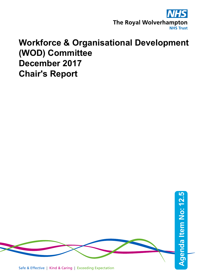

## **Workforce & Organisational Development (WOD) Committee December 2017 Chair's Report**

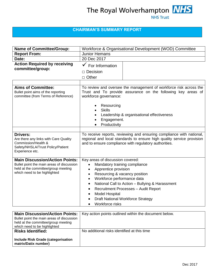## **NHS Trust**

### **CHAIRMAN'S SUMMARY REPORT**

| <b>Name of Committee/Group:</b>                                                                                                                           | Workforce & Organisational Development (WOD) Committee                                                                                                                                                                                                                                                                                                                             |  |  |
|-----------------------------------------------------------------------------------------------------------------------------------------------------------|------------------------------------------------------------------------------------------------------------------------------------------------------------------------------------------------------------------------------------------------------------------------------------------------------------------------------------------------------------------------------------|--|--|
| <b>Report From:</b>                                                                                                                                       | <b>Junior Hemans</b>                                                                                                                                                                                                                                                                                                                                                               |  |  |
| Date:                                                                                                                                                     | 20 Dec 2017                                                                                                                                                                                                                                                                                                                                                                        |  |  |
| <b>Action Required by receiving</b><br>committee/group:                                                                                                   | For Information<br>$\Box$ Decision<br>$\Box$ Other                                                                                                                                                                                                                                                                                                                                 |  |  |
| <b>Aims of Committee:</b><br>Bullet point aims of the reporting<br>committee (from Terms of Reference)                                                    | To review and oversee the management of workforce risk across the<br>Trust and To provide assurance on the following key areas of<br>workforce governance:<br>Resourcing<br><b>Skills</b><br>Leadership & organisational effectiveness<br>Engagement.<br>Productivity                                                                                                              |  |  |
| <b>Drivers:</b><br>Are there any links with Care Quality<br>Commission/Health &<br>Safety/NHSLA/Trust Policy/Patient<br>Experience etc.                   | To receive reports, reviewing and ensuring compliance with national,<br>regional and local standards to ensure high quality service provision<br>and to ensure compliance with regulatory authorities.                                                                                                                                                                             |  |  |
| <b>Main Discussion/Action Points:</b><br>Bullet point the main areas of discussion<br>held at the committee/group meeting<br>which need to be highlighted | Key areas of discussion covered:<br>Mandatory training compliance<br>Apprentice provision<br>Resourcing & vacancy position<br>$\bullet$<br>Workforce performance data<br>National Call to Action - Bullying & Harassment<br>$\bullet$<br>Recruitment Processes - Audit Report<br>$\bullet$<br><b>Model Hospital</b><br><b>Draft National Workforce Strategy</b><br>Workforce risks |  |  |

| <b>Main Discussion/Action Points:</b>     | Key action points outlined within the document below. |
|-------------------------------------------|-------------------------------------------------------|
| Bullet point the main areas of discussion |                                                       |
| held at the committee/group meeting       |                                                       |
| which need to be highlighted              |                                                       |
| <b>Risks Identified:</b>                  | No additional risks identified at this time           |
|                                           |                                                       |
| <b>Include Risk Grade (categorisation</b> |                                                       |
| matrix/Datix number)                      |                                                       |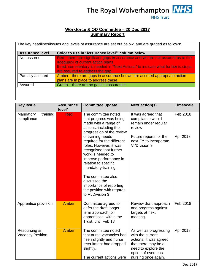## The Royal Wolverhampton **NHS NHS Trust**

#### **Workforce & OD Committee – 20 Dec 2017 Summary Report**

| <b>Assurance level</b> | Color to use in 'Assurance level*' column below                                                                                                                                                                                           |
|------------------------|-------------------------------------------------------------------------------------------------------------------------------------------------------------------------------------------------------------------------------------------|
| Not assured            | Red - there are significant gaps in assurance and we are not assured as to the<br>adequacy of current action plans<br>If red, commentary is needed in "Next Actions" to indicate what further is steps<br>are required to address the gap |
| Partially assured      | Amber - there are gaps in assurance but we are assured appropriate action<br>plans are in place to address these                                                                                                                          |
| Assured                | Green – there are no gaps in assurance                                                                                                                                                                                                    |

| <b>Key issue</b>                        | <b>Assurance</b><br>level* | <b>Committee update</b>                                                                                                                                                                                                                                                                                               | <b>Next action(s)</b>                                                                                                                                           | <b>Timescale</b> |
|-----------------------------------------|----------------------------|-----------------------------------------------------------------------------------------------------------------------------------------------------------------------------------------------------------------------------------------------------------------------------------------------------------------------|-----------------------------------------------------------------------------------------------------------------------------------------------------------------|------------------|
| training<br>Mandatory<br>compliance     | <b>Red</b>                 | The committee noted<br>that progress was being<br>made with a range of<br>actions, including the<br>progression of the review                                                                                                                                                                                         | It was agreed that<br>compliance would<br>remain under regular<br>review                                                                                        | Feb 2018         |
|                                         |                            | of training needs<br>required for the different<br>roles. However, it was<br>recognised that further<br>work is needed to<br>improve performance in<br>relation to specific<br>mandatory training.<br>The committee also<br>discussed the<br>importance of reporting<br>the position with regards<br>to VI/Division 3 | Future reports for the<br>next FY to incorporate<br>VI/Division 3                                                                                               | Apr 2018         |
| Apprentice provision                    | Amber                      | Committee agreed to<br>defer the draft longer<br>term approach for<br>apprentices, within the<br>Trust, until Feb 18                                                                                                                                                                                                  | Review draft approach<br>and progress against<br>targets at next<br>meeting.                                                                                    | Feb 2018         |
| Resourcing &<br><b>Vacancy Position</b> | Amber                      | The committee noted<br>that nurse vacancies had<br>risen slightly and nurse<br>recruitment had dropped<br>slightly.<br>The current actions were                                                                                                                                                                       | As well as progressing<br>with the current<br>actions, it was agreed<br>that there may be a<br>need to explore the<br>option of overseas<br>nursing once again. | Apr 2018         |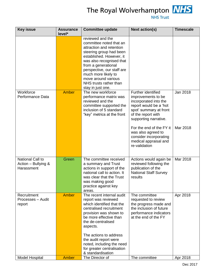

# The Royal Wolverhampton **NHS**

| <b>Key issue</b>                                      | <b>Assurance</b><br>level* | <b>Committee update</b>                                                                                                                                                                                                                                                                                      | <b>Next action(s)</b>                                                                                                                                                                            | <b>Timescale</b>     |
|-------------------------------------------------------|----------------------------|--------------------------------------------------------------------------------------------------------------------------------------------------------------------------------------------------------------------------------------------------------------------------------------------------------------|--------------------------------------------------------------------------------------------------------------------------------------------------------------------------------------------------|----------------------|
|                                                       |                            | reviewed and the<br>committee noted that an<br>attraction and retention<br>steering group had been<br>established. However, it<br>was also recognised that<br>from a generational<br>perspective, our staff are<br>much more likely to<br>move around various<br>NHS trusts rather than<br>stay in just one. |                                                                                                                                                                                                  |                      |
| Workforce<br>Performance Data                         | <b>Amber</b>               | The new workforce<br>performance matrix was<br>reviewed and the<br>committee supported the<br>inclusion of 5 standard<br>"key" metrics at the front                                                                                                                                                          | Further identified<br>improvements to be<br>incorporated into the<br>report would be a 'hot<br>spot' summary at front<br>of the report with<br>supporting narrative.<br>For the end of the FY it | Jan 2018<br>Mar 2018 |
|                                                       |                            |                                                                                                                                                                                                                                                                                                              | was also agreed to<br>consider incorporating<br>medical appraisal and<br>re-validation                                                                                                           |                      |
| National Call to<br>Action - Bullying &<br>Harassment | Green                      | The committee received<br>a summary and Trust<br>actions in support of the<br>national call to action. It<br>was clear that the Trust<br>was making good<br>practice against key<br>areas.                                                                                                                   | Actions would again be<br>reviewed following the<br>publication of the<br><b>National Staff Survey</b><br>results                                                                                | Mar 2018             |
| Recruitment<br>Processes - Audit<br>report            | <b>Amber</b>               | The recent internal audit<br>report was reviewed<br>which identified that the<br>centralised recruitment<br>provision was shown to<br>be more effective than<br>the de-centralised<br>aspects.                                                                                                               | The committee<br>requested to review<br>the progress made and<br>the inclusion of future<br>performance indicators<br>at the end of the FY                                                       | Apr 2018             |
| <b>Model Hospital</b>                                 | <b>Amber</b>               | The actions to address<br>the audit report were<br>noted, including the need<br>for greater centralisation<br>& standardisation<br>The Director of                                                                                                                                                           | The committee                                                                                                                                                                                    | Apr 2018             |